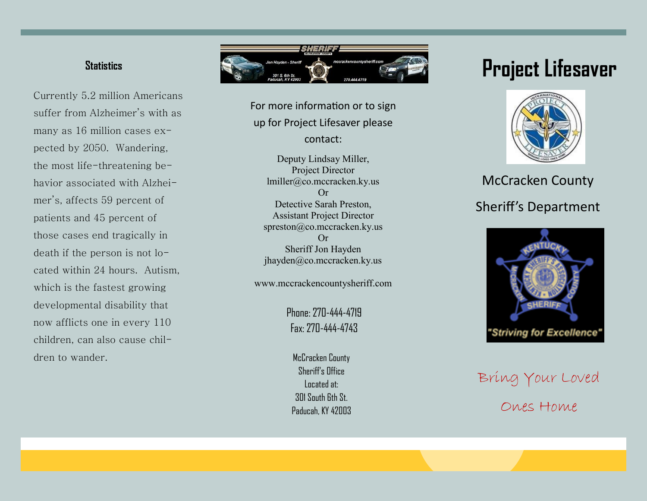#### **Statistics**

Currently 5.2 million Americans suffer from Alzheimer's with as many as 16 million cases expected by 2050. Wandering, the most life -threatening behavior associated with Alzheimer's, affects 59 percent of patients and 45 percent of those cases end tragically in death if the person is not located within 24 hours. Autism, which is the fastest growing developmental disability that now afflicts one in every 110 children, can also cause children to wander.



For more information or to sign up for Project Lifesaver please contact:

Deputy Lindsay Miller, Project Director lmiller@co.mccracken.ky.us Or Detective Sarah Preston, Assistant Project Director spreston@co.mccracken.ky.us Or Sheriff Jon Hayden jhayden@co.mccracken.ky.us

www.mccrackencountysheriff.com

Phone: 270 -444 -4719 Fax: 270 -444 -4743

McCracken County Sheriff's Office Located at: 301 South 6th St. Paducah, KY 42003

# **Project Lifesaver**



## McCracken County Sheriff's Department



Bring Your Loved Ones Home